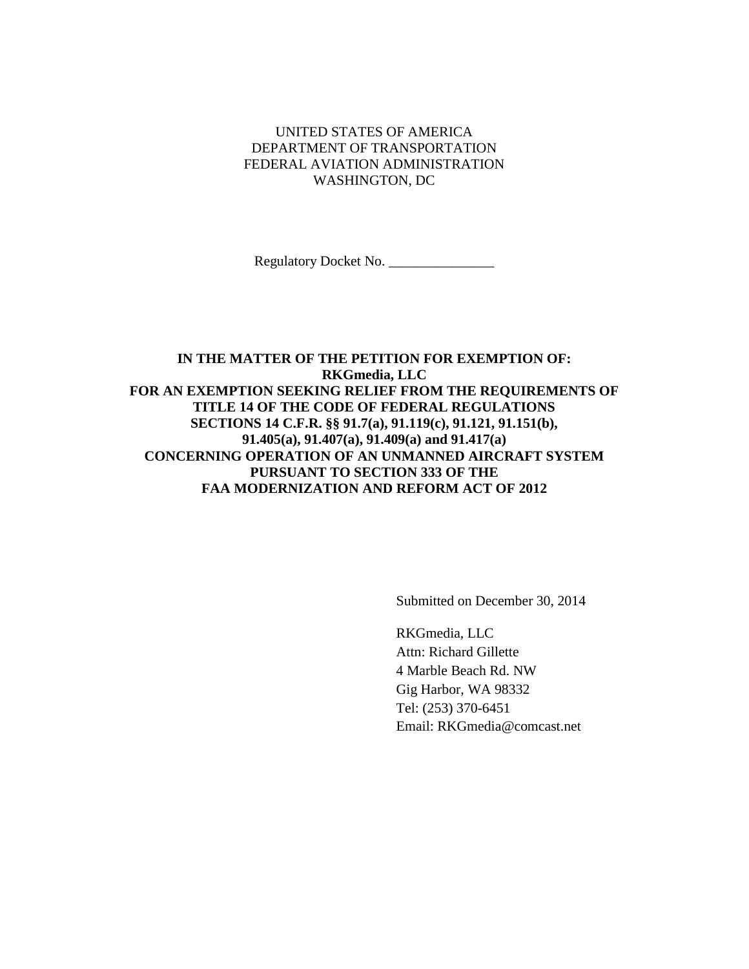## UNITED STATES OF AMERICA DEPARTMENT OF TRANSPORTATION FEDERAL AVIATION ADMINISTRATION WASHINGTON, DC

Regulatory Docket No. \_\_\_\_\_\_\_\_\_\_\_\_\_\_\_

## **IN THE MATTER OF THE PETITION FOR EXEMPTION OF: RKGmedia, LLC FOR AN EXEMPTION SEEKING RELIEF FROM THE REQUIREMENTS OF TITLE 14 OF THE CODE OF FEDERAL REGULATIONS SECTIONS 14 C.F.R. §§ 91.7(a), 91.119(c), 91.121, 91.151(b), 91.405(a), 91.407(a), 91.409(a) and 91.417(a) CONCERNING OPERATION OF AN UNMANNED AIRCRAFT SYSTEM PURSUANT TO SECTION 333 OF THE FAA MODERNIZATION AND REFORM ACT OF 2012**

Submitted on December 30, 2014

RKGmedia, LLC Attn: Richard Gillette 4 Marble Beach Rd. NW Gig Harbor, WA 98332 Tel: (253) 370-6451 Email: RKGmedia@comcast.net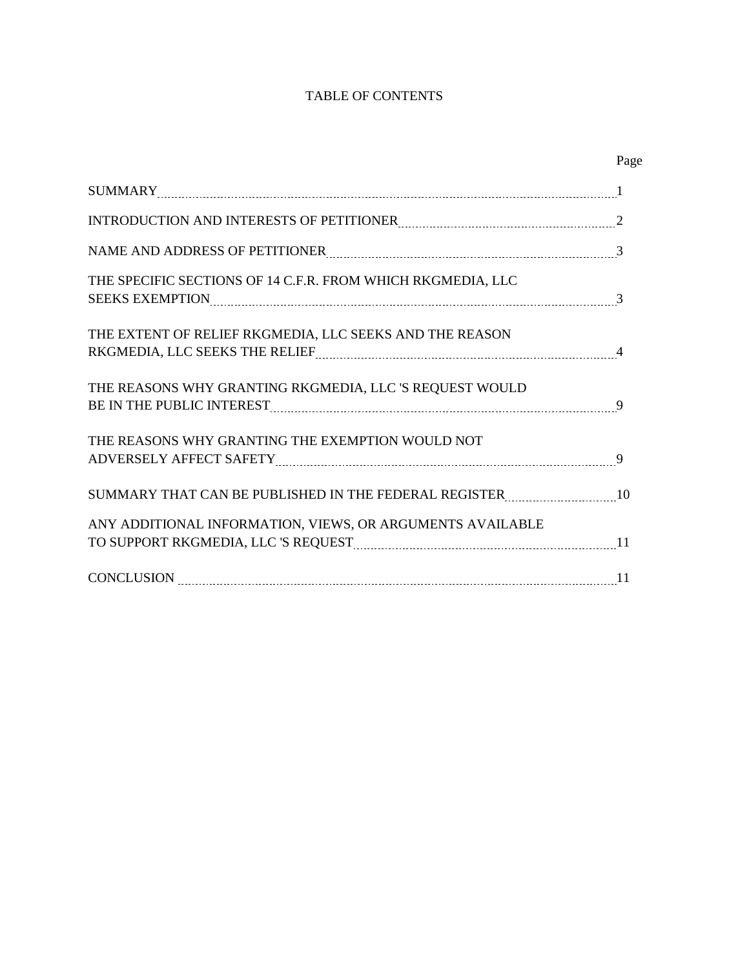# TABLE OF CONTENTS

|                                                                                                                                                                            | Page |
|----------------------------------------------------------------------------------------------------------------------------------------------------------------------------|------|
|                                                                                                                                                                            |      |
| INTRODUCTION AND INTERESTS OF PETITIONER 22                                                                                                                                |      |
| NAME AND ADDRESS OF PETITIONER MALLET AND RESIDENCE AND ADDRESS OF PETITIONER                                                                                              |      |
| THE SPECIFIC SECTIONS OF 14 C.F.R. FROM WHICH RKGMEDIA, LLC                                                                                                                |      |
| THE EXTENT OF RELIEF RKGMEDIA, LLC SEEKS AND THE REASON<br>RKGMEDIA, LLC SEEKS THE RELIEF MALL AND CONTROLLER AND THE RELIEF MALL ASSESSMENT RELIEF MALL ASSESSMENT RELIEF |      |
| THE REASONS WHY GRANTING RKGMEDIA, LLC 'S REQUEST WOULD<br>BE IN THE PUBLIC INTEREST [[11] THE PUBLIC INTEREST [[11] THE PUBLIC INTEREST [[11] THE PUBLIC INTEREST [       |      |
| THE REASONS WHY GRANTING THE EXEMPTION WOULD NOT<br>ADVERSELY AFFECT SAFETY EXECUTES AND ALL ASSESSMENT RADIES AND RESERVE AFFECT SAFETY EXECUTIONS AND RESERVE AT         |      |
| SUMMARY THAT CAN BE PUBLISHED IN THE FEDERAL REGISTER [10] [10]                                                                                                            |      |
| ANY ADDITIONAL INFORMATION, VIEWS, OR ARGUMENTS AVAILABLE                                                                                                                  |      |
| $CONCLUSION 11$                                                                                                                                                            |      |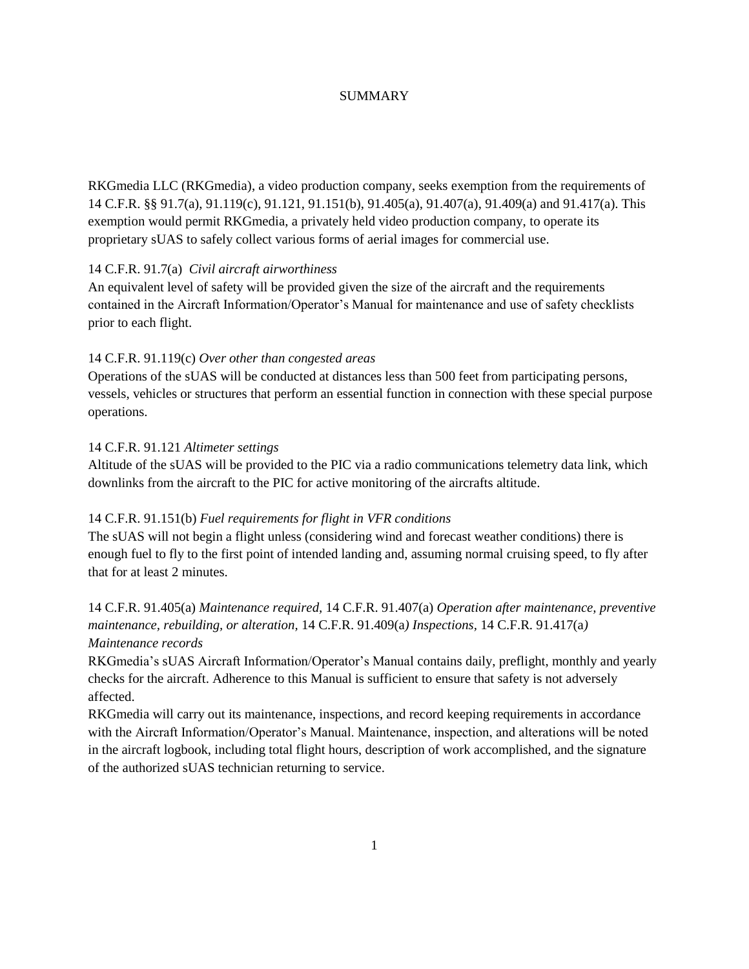#### SUMMARY

RKGmedia LLC (RKGmedia), a video production company, seeks exemption from the requirements of 14 C.F.R. §§ 91.7(a), 91.119(c), 91.121, 91.151(b), 91.405(a), 91.407(a), 91.409(a) and 91.417(a). This exemption would permit RKGmedia, a privately held video production company, to operate its proprietary sUAS to safely collect various forms of aerial images for commercial use.

### 14 C.F.R. 91.7(a) *Civil aircraft airworthiness*

An equivalent level of safety will be provided given the size of the aircraft and the requirements contained in the Aircraft Information/Operator's Manual for maintenance and use of safety checklists prior to each flight.

#### 14 C.F.R. 91.119(c) *Over other than congested areas*

Operations of the sUAS will be conducted at distances less than 500 feet from participating persons, vessels, vehicles or structures that perform an essential function in connection with these special purpose operations.

#### 14 C.F.R. 91.121 *Altimeter settings*

Altitude of the sUAS will be provided to the PIC via a radio communications telemetry data link, which downlinks from the aircraft to the PIC for active monitoring of the aircrafts altitude.

#### 14 C.F.R. 91.151(b) *Fuel requirements for flight in VFR conditions*

The sUAS will not begin a flight unless (considering wind and forecast weather conditions) there is enough fuel to fly to the first point of intended landing and, assuming normal cruising speed, to fly after that for at least 2 minutes.

## 14 C.F.R. 91.405(a) *Maintenance required,* 14 C.F.R. 91.407(a) *Operation after maintenance, preventive maintenance, rebuilding, or alteration,* 14 C.F.R. 91.409(a*) Inspections,* 14 C.F.R. 91.417(a*) Maintenance records*

RKGmedia's sUAS Aircraft Information/Operator's Manual contains daily, preflight, monthly and yearly checks for the aircraft. Adherence to this Manual is sufficient to ensure that safety is not adversely affected.

RKGmedia will carry out its maintenance, inspections, and record keeping requirements in accordance with the Aircraft Information/Operator's Manual. Maintenance, inspection, and alterations will be noted in the aircraft logbook, including total flight hours, description of work accomplished, and the signature of the authorized sUAS technician returning to service.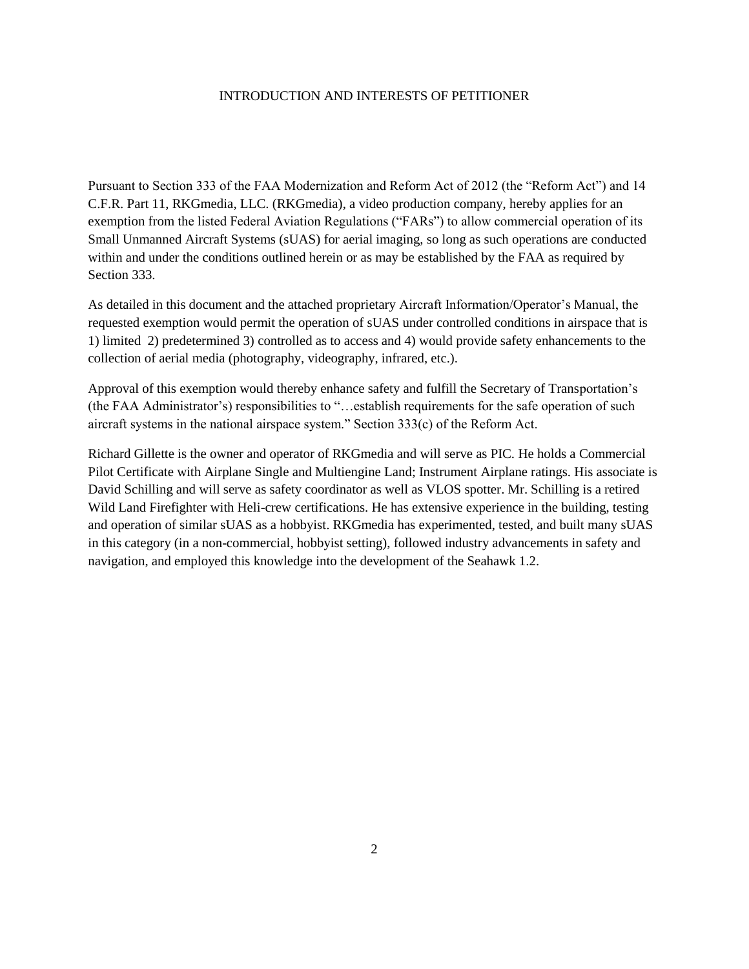#### INTRODUCTION AND INTERESTS OF PETITIONER

Pursuant to Section 333 of the FAA Modernization and Reform Act of 2012 (the "Reform Act") and 14 C.F.R. Part 11, RKGmedia, LLC. (RKGmedia), a video production company, hereby applies for an exemption from the listed Federal Aviation Regulations ("FARs") to allow commercial operation of its Small Unmanned Aircraft Systems (sUAS) for aerial imaging, so long as such operations are conducted within and under the conditions outlined herein or as may be established by the FAA as required by Section 333.

As detailed in this document and the attached proprietary Aircraft Information/Operator's Manual, the requested exemption would permit the operation of sUAS under controlled conditions in airspace that is 1) limited 2) predetermined 3) controlled as to access and 4) would provide safety enhancements to the collection of aerial media (photography, videography, infrared, etc.).

Approval of this exemption would thereby enhance safety and fulfill the Secretary of Transportation's (the FAA Administrator's) responsibilities to "…establish requirements for the safe operation of such aircraft systems in the national airspace system." Section 333(c) of the Reform Act.

Richard Gillette is the owner and operator of RKGmedia and will serve as PIC. He holds a Commercial Pilot Certificate with Airplane Single and Multiengine Land; Instrument Airplane ratings. His associate is David Schilling and will serve as safety coordinator as well as VLOS spotter. Mr. Schilling is a retired Wild Land Firefighter with Heli-crew certifications. He has extensive experience in the building, testing and operation of similar sUAS as a hobbyist. RKGmedia has experimented, tested, and built many sUAS in this category (in a non-commercial, hobbyist setting), followed industry advancements in safety and navigation, and employed this knowledge into the development of the Seahawk 1.2.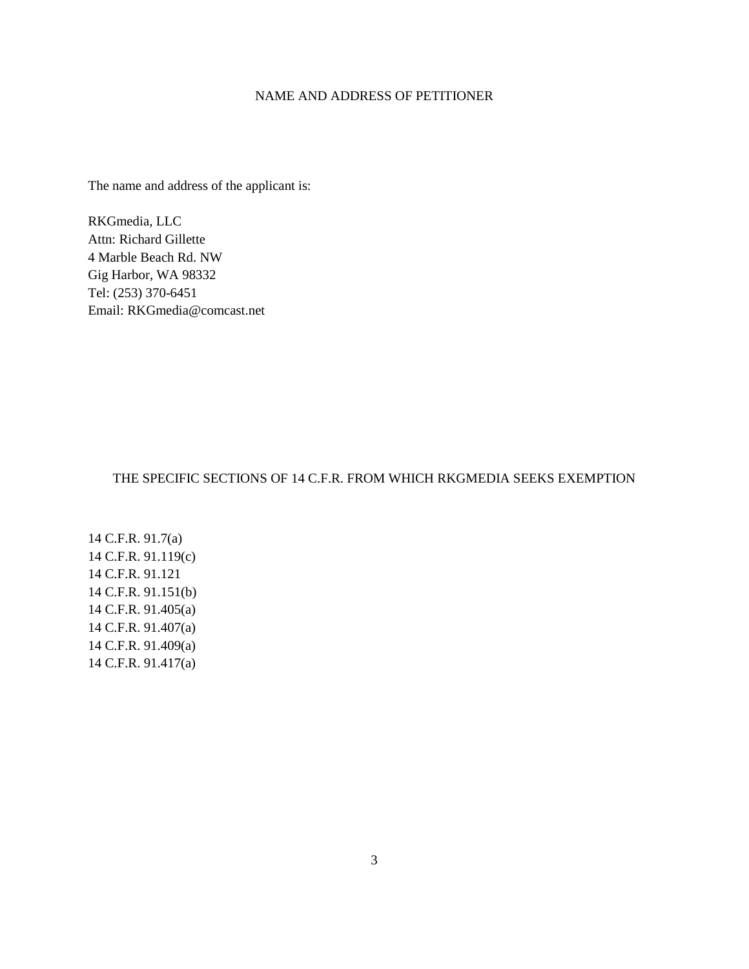### NAME AND ADDRESS OF PETITIONER

The name and address of the applicant is:

RKGmedia, LLC Attn: Richard Gillette 4 Marble Beach Rd. NW Gig Harbor, WA 98332 Tel: (253) 370-6451 Email: RKGmedia@comcast.net

## THE SPECIFIC SECTIONS OF 14 C.F.R. FROM WHICH RKGMEDIA SEEKS EXEMPTION

14 C.F.R. 91.7(a) 14 C.F.R. 91.119(c) 14 C.F.R. 91.121 14 C.F.R. 91.151(b) 14 C.F.R. 91.405(a) 14 C.F.R. 91.407(a) 14 C.F.R. 91.409(a) 14 C.F.R. 91.417(a)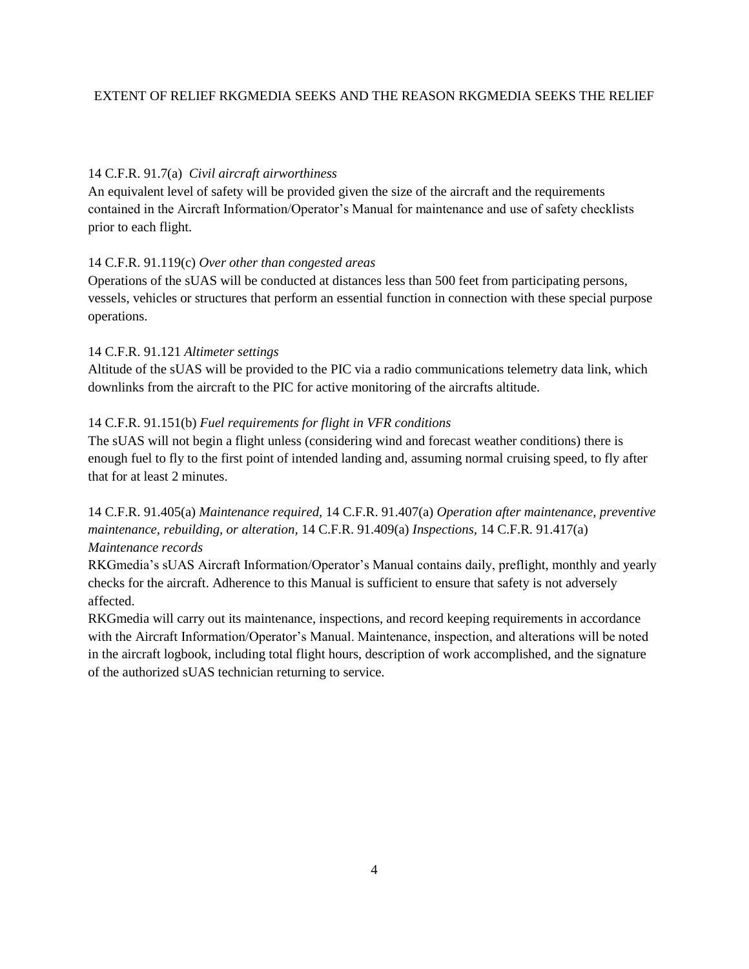### EXTENT OF RELIEF RKGMEDIA SEEKS AND THE REASON RKGMEDIA SEEKS THE RELIEF

#### 14 C.F.R. 91.7(a) *Civil aircraft airworthiness*

An equivalent level of safety will be provided given the size of the aircraft and the requirements contained in the Aircraft Information/Operator's Manual for maintenance and use of safety checklists prior to each flight.

#### 14 C.F.R. 91.119(c) *Over other than congested areas*

Operations of the sUAS will be conducted at distances less than 500 feet from participating persons, vessels, vehicles or structures that perform an essential function in connection with these special purpose operations.

#### 14 C.F.R. 91.121 *Altimeter settings*

Altitude of the sUAS will be provided to the PIC via a radio communications telemetry data link, which downlinks from the aircraft to the PIC for active monitoring of the aircrafts altitude.

#### 14 C.F.R. 91.151(b) *Fuel requirements for flight in VFR conditions*

The sUAS will not begin a flight unless (considering wind and forecast weather conditions) there is enough fuel to fly to the first point of intended landing and, assuming normal cruising speed, to fly after that for at least 2 minutes.

14 C.F.R. 91.405(a) *Maintenance required,* 14 C.F.R. 91.407(a) *Operation after maintenance, preventive maintenance, rebuilding, or alteration,* 14 C.F.R. 91.409(a) *Inspections,* 14 C.F.R. 91.417(a) *Maintenance records*

RKGmedia's sUAS Aircraft Information/Operator's Manual contains daily, preflight, monthly and yearly checks for the aircraft. Adherence to this Manual is sufficient to ensure that safety is not adversely affected.

RKGmedia will carry out its maintenance, inspections, and record keeping requirements in accordance with the Aircraft Information/Operator's Manual. Maintenance, inspection, and alterations will be noted in the aircraft logbook, including total flight hours, description of work accomplished, and the signature of the authorized sUAS technician returning to service.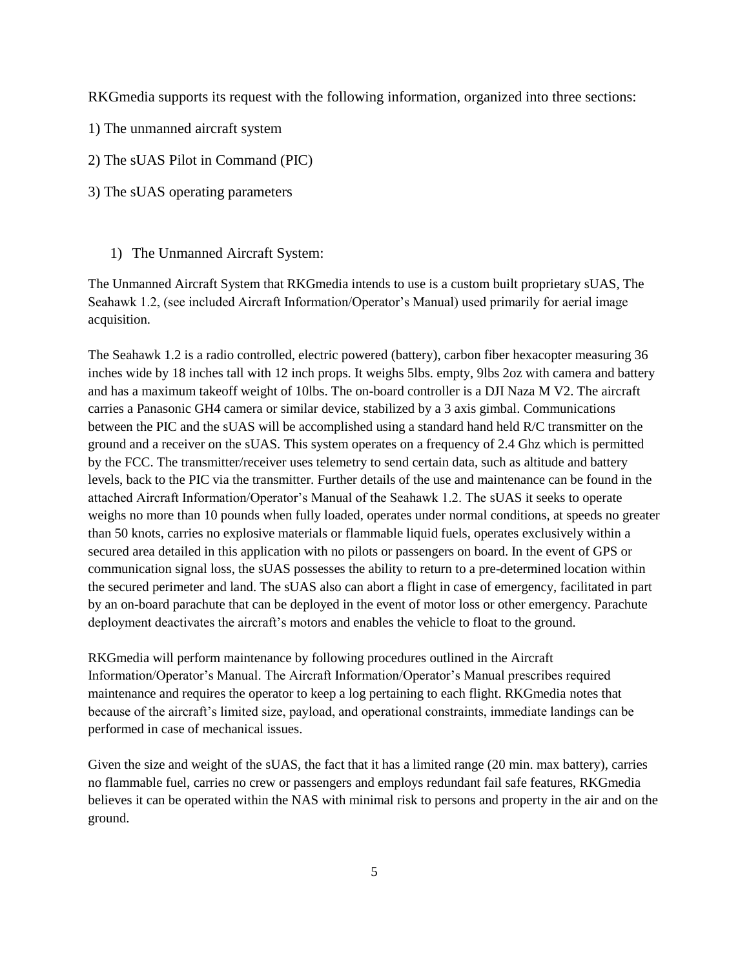RKGmedia supports its request with the following information, organized into three sections:

- 1) The unmanned aircraft system
- 2) The sUAS Pilot in Command (PIC)
- 3) The sUAS operating parameters
	- 1) The Unmanned Aircraft System:

The Unmanned Aircraft System that RKGmedia intends to use is a custom built proprietary sUAS, The Seahawk 1.2, (see included Aircraft Information/Operator's Manual) used primarily for aerial image acquisition.

The Seahawk 1.2 is a radio controlled, electric powered (battery), carbon fiber hexacopter measuring 36 inches wide by 18 inches tall with 12 inch props. It weighs 5lbs. empty, 9lbs 2oz with camera and battery and has a maximum takeoff weight of 10lbs. The on-board controller is a DJI Naza M V2. The aircraft carries a Panasonic GH4 camera or similar device, stabilized by a 3 axis gimbal. Communications between the PIC and the sUAS will be accomplished using a standard hand held R/C transmitter on the ground and a receiver on the sUAS. This system operates on a frequency of 2.4 Ghz which is permitted by the FCC. The transmitter/receiver uses telemetry to send certain data, such as altitude and battery levels, back to the PIC via the transmitter. Further details of the use and maintenance can be found in the attached Aircraft Information/Operator's Manual of the Seahawk 1.2. The sUAS it seeks to operate weighs no more than 10 pounds when fully loaded, operates under normal conditions, at speeds no greater than 50 knots, carries no explosive materials or flammable liquid fuels, operates exclusively within a secured area detailed in this application with no pilots or passengers on board. In the event of GPS or communication signal loss, the sUAS possesses the ability to return to a pre-determined location within the secured perimeter and land. The sUAS also can abort a flight in case of emergency, facilitated in part by an on-board parachute that can be deployed in the event of motor loss or other emergency. Parachute deployment deactivates the aircraft's motors and enables the vehicle to float to the ground.

RKGmedia will perform maintenance by following procedures outlined in the Aircraft Information/Operator's Manual. The Aircraft Information/Operator's Manual prescribes required maintenance and requires the operator to keep a log pertaining to each flight. RKGmedia notes that because of the aircraft's limited size, payload, and operational constraints, immediate landings can be performed in case of mechanical issues.

Given the size and weight of the sUAS, the fact that it has a limited range (20 min. max battery), carries no flammable fuel, carries no crew or passengers and employs redundant fail safe features, RKGmedia believes it can be operated within the NAS with minimal risk to persons and property in the air and on the ground.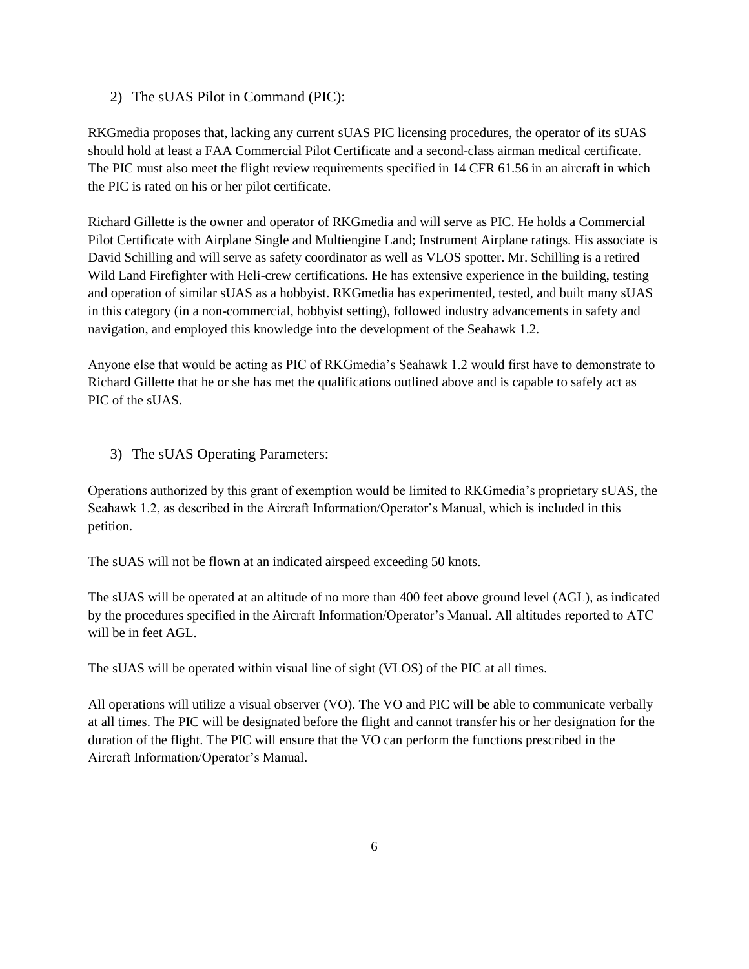## 2) The sUAS Pilot in Command (PIC):

RKGmedia proposes that, lacking any current sUAS PIC licensing procedures, the operator of its sUAS should hold at least a FAA Commercial Pilot Certificate and a second-class airman medical certificate. The PIC must also meet the flight review requirements specified in 14 CFR 61.56 in an aircraft in which the PIC is rated on his or her pilot certificate.

Richard Gillette is the owner and operator of RKGmedia and will serve as PIC. He holds a Commercial Pilot Certificate with Airplane Single and Multiengine Land; Instrument Airplane ratings. His associate is David Schilling and will serve as safety coordinator as well as VLOS spotter. Mr. Schilling is a retired Wild Land Firefighter with Heli-crew certifications. He has extensive experience in the building, testing and operation of similar sUAS as a hobbyist. RKGmedia has experimented, tested, and built many sUAS in this category (in a non-commercial, hobbyist setting), followed industry advancements in safety and navigation, and employed this knowledge into the development of the Seahawk 1.2.

Anyone else that would be acting as PIC of RKGmedia's Seahawk 1.2 would first have to demonstrate to Richard Gillette that he or she has met the qualifications outlined above and is capable to safely act as PIC of the sUAS.

3) The sUAS Operating Parameters:

Operations authorized by this grant of exemption would be limited to RKGmedia's proprietary sUAS, the Seahawk 1.2, as described in the Aircraft Information/Operator's Manual, which is included in this petition.

The sUAS will not be flown at an indicated airspeed exceeding 50 knots.

The sUAS will be operated at an altitude of no more than 400 feet above ground level (AGL), as indicated by the procedures specified in the Aircraft Information/Operator's Manual. All altitudes reported to ATC will be in feet AGL.

The sUAS will be operated within visual line of sight (VLOS) of the PIC at all times.

All operations will utilize a visual observer (VO). The VO and PIC will be able to communicate verbally at all times. The PIC will be designated before the flight and cannot transfer his or her designation for the duration of the flight. The PIC will ensure that the VO can perform the functions prescribed in the Aircraft Information/Operator's Manual.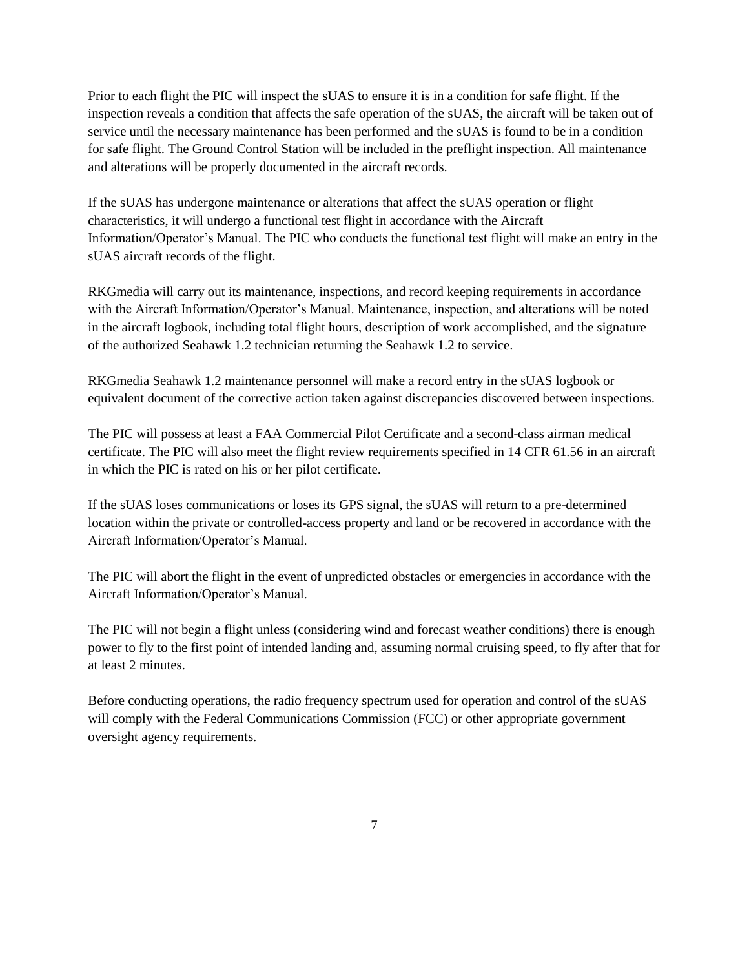Prior to each flight the PIC will inspect the sUAS to ensure it is in a condition for safe flight. If the inspection reveals a condition that affects the safe operation of the sUAS, the aircraft will be taken out of service until the necessary maintenance has been performed and the sUAS is found to be in a condition for safe flight. The Ground Control Station will be included in the preflight inspection. All maintenance and alterations will be properly documented in the aircraft records.

If the sUAS has undergone maintenance or alterations that affect the sUAS operation or flight characteristics, it will undergo a functional test flight in accordance with the Aircraft Information/Operator's Manual. The PIC who conducts the functional test flight will make an entry in the sUAS aircraft records of the flight.

RKGmedia will carry out its maintenance, inspections, and record keeping requirements in accordance with the Aircraft Information/Operator's Manual. Maintenance, inspection, and alterations will be noted in the aircraft logbook, including total flight hours, description of work accomplished, and the signature of the authorized Seahawk 1.2 technician returning the Seahawk 1.2 to service.

RKGmedia Seahawk 1.2 maintenance personnel will make a record entry in the sUAS logbook or equivalent document of the corrective action taken against discrepancies discovered between inspections.

The PIC will possess at least a FAA Commercial Pilot Certificate and a second-class airman medical certificate. The PIC will also meet the flight review requirements specified in 14 CFR 61.56 in an aircraft in which the PIC is rated on his or her pilot certificate.

If the sUAS loses communications or loses its GPS signal, the sUAS will return to a pre-determined location within the private or controlled-access property and land or be recovered in accordance with the Aircraft Information/Operator's Manual.

The PIC will abort the flight in the event of unpredicted obstacles or emergencies in accordance with the Aircraft Information/Operator's Manual.

The PIC will not begin a flight unless (considering wind and forecast weather conditions) there is enough power to fly to the first point of intended landing and, assuming normal cruising speed, to fly after that for at least 2 minutes.

Before conducting operations, the radio frequency spectrum used for operation and control of the sUAS will comply with the Federal Communications Commission (FCC) or other appropriate government oversight agency requirements.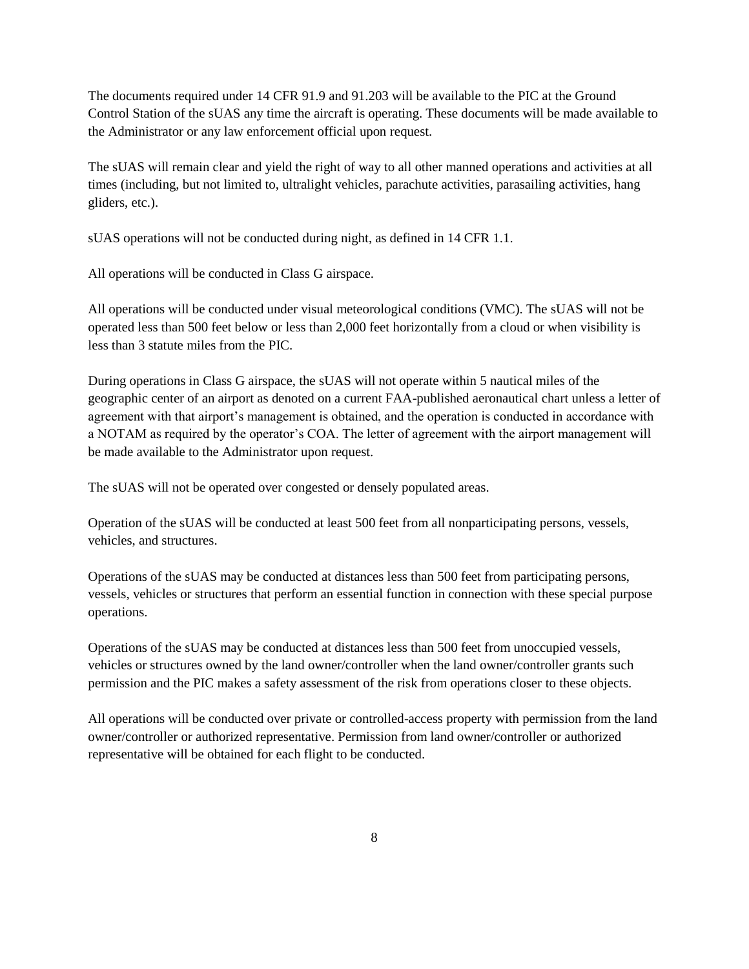The documents required under 14 CFR 91.9 and 91.203 will be available to the PIC at the Ground Control Station of the sUAS any time the aircraft is operating. These documents will be made available to the Administrator or any law enforcement official upon request.

The sUAS will remain clear and yield the right of way to all other manned operations and activities at all times (including, but not limited to, ultralight vehicles, parachute activities, parasailing activities, hang gliders, etc.).

sUAS operations will not be conducted during night, as defined in 14 CFR 1.1.

All operations will be conducted in Class G airspace.

All operations will be conducted under visual meteorological conditions (VMC). The sUAS will not be operated less than 500 feet below or less than 2,000 feet horizontally from a cloud or when visibility is less than 3 statute miles from the PIC.

During operations in Class G airspace, the sUAS will not operate within 5 nautical miles of the geographic center of an airport as denoted on a current FAA-published aeronautical chart unless a letter of agreement with that airport's management is obtained, and the operation is conducted in accordance with a NOTAM as required by the operator's COA. The letter of agreement with the airport management will be made available to the Administrator upon request.

The sUAS will not be operated over congested or densely populated areas.

Operation of the sUAS will be conducted at least 500 feet from all nonparticipating persons, vessels, vehicles, and structures.

Operations of the sUAS may be conducted at distances less than 500 feet from participating persons, vessels, vehicles or structures that perform an essential function in connection with these special purpose operations.

Operations of the sUAS may be conducted at distances less than 500 feet from unoccupied vessels, vehicles or structures owned by the land owner/controller when the land owner/controller grants such permission and the PIC makes a safety assessment of the risk from operations closer to these objects.

All operations will be conducted over private or controlled-access property with permission from the land owner/controller or authorized representative. Permission from land owner/controller or authorized representative will be obtained for each flight to be conducted.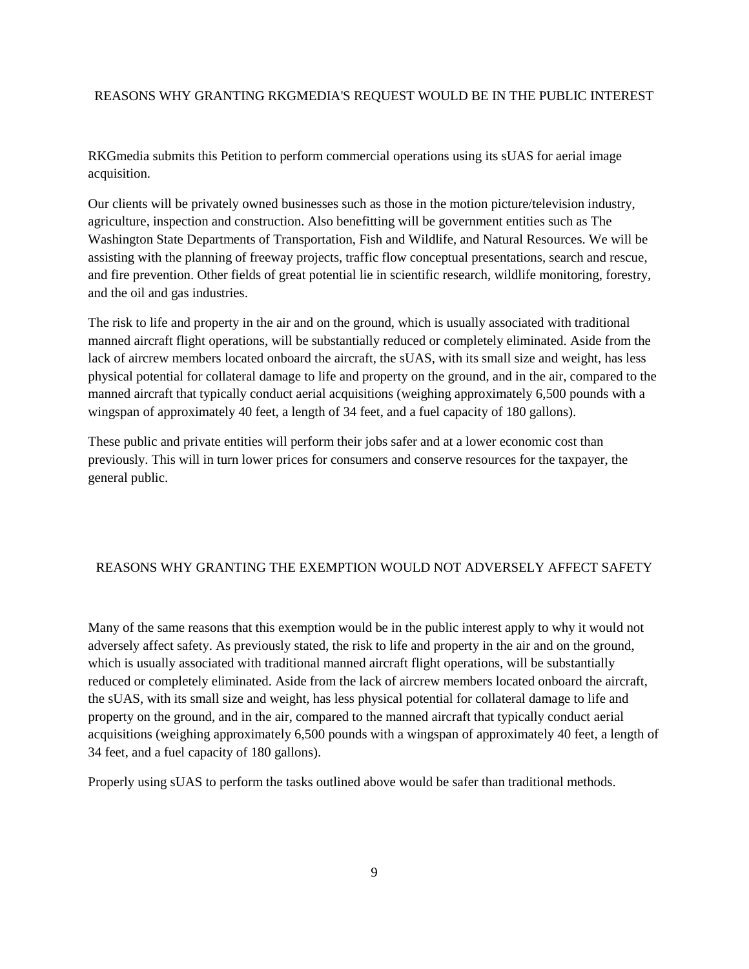### REASONS WHY GRANTING RKGMEDIA'S REQUEST WOULD BE IN THE PUBLIC INTEREST

RKGmedia submits this Petition to perform commercial operations using its sUAS for aerial image acquisition.

Our clients will be privately owned businesses such as those in the motion picture/television industry, agriculture, inspection and construction. Also benefitting will be government entities such as The Washington State Departments of Transportation, Fish and Wildlife, and Natural Resources. We will be assisting with the planning of freeway projects, traffic flow conceptual presentations, search and rescue, and fire prevention. Other fields of great potential lie in scientific research, wildlife monitoring, forestry, and the oil and gas industries.

The risk to life and property in the air and on the ground, which is usually associated with traditional manned aircraft flight operations, will be substantially reduced or completely eliminated. Aside from the lack of aircrew members located onboard the aircraft, the sUAS, with its small size and weight, has less physical potential for collateral damage to life and property on the ground, and in the air, compared to the manned aircraft that typically conduct aerial acquisitions (weighing approximately 6,500 pounds with a wingspan of approximately 40 feet, a length of 34 feet, and a fuel capacity of 180 gallons).

These public and private entities will perform their jobs safer and at a lower economic cost than previously. This will in turn lower prices for consumers and conserve resources for the taxpayer, the general public.

### REASONS WHY GRANTING THE EXEMPTION WOULD NOT ADVERSELY AFFECT SAFETY

Many of the same reasons that this exemption would be in the public interest apply to why it would not adversely affect safety. As previously stated, the risk to life and property in the air and on the ground, which is usually associated with traditional manned aircraft flight operations, will be substantially reduced or completely eliminated. Aside from the lack of aircrew members located onboard the aircraft, the sUAS, with its small size and weight, has less physical potential for collateral damage to life and property on the ground, and in the air, compared to the manned aircraft that typically conduct aerial acquisitions (weighing approximately 6,500 pounds with a wingspan of approximately 40 feet, a length of 34 feet, and a fuel capacity of 180 gallons).

Properly using sUAS to perform the tasks outlined above would be safer than traditional methods.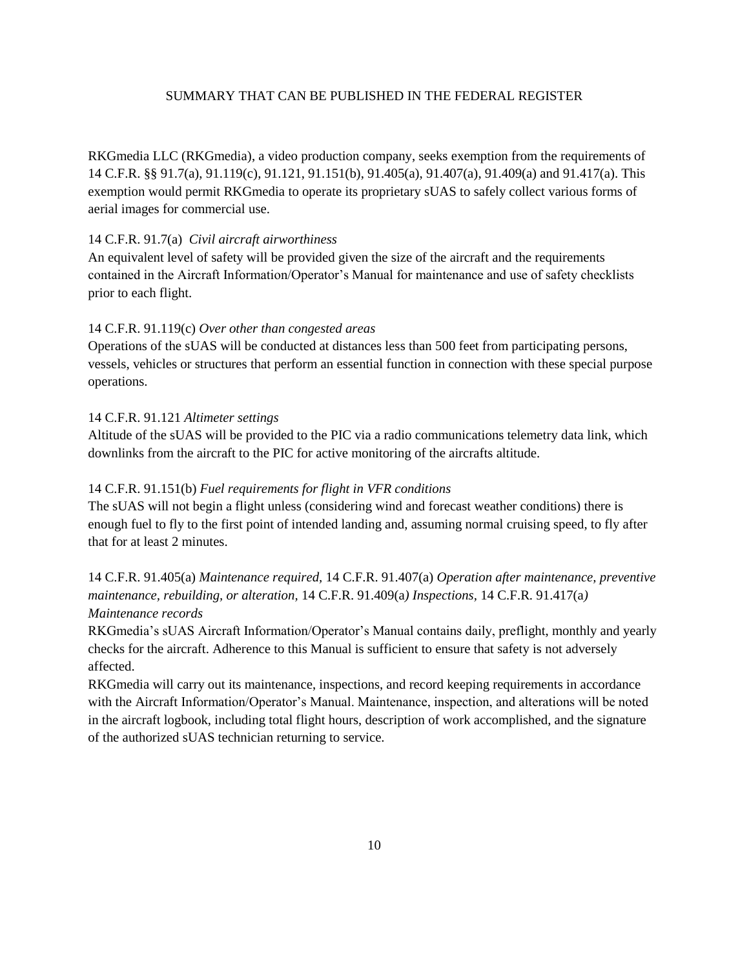### SUMMARY THAT CAN BE PUBLISHED IN THE FEDERAL REGISTER

RKGmedia LLC (RKGmedia), a video production company, seeks exemption from the requirements of 14 C.F.R. §§ 91.7(a), 91.119(c), 91.121, 91.151(b), 91.405(a), 91.407(a), 91.409(a) and 91.417(a). This exemption would permit RKGmedia to operate its proprietary sUAS to safely collect various forms of aerial images for commercial use.

#### 14 C.F.R. 91.7(a) *Civil aircraft airworthiness*

An equivalent level of safety will be provided given the size of the aircraft and the requirements contained in the Aircraft Information/Operator's Manual for maintenance and use of safety checklists prior to each flight.

#### 14 C.F.R. 91.119(c) *Over other than congested areas*

Operations of the sUAS will be conducted at distances less than 500 feet from participating persons, vessels, vehicles or structures that perform an essential function in connection with these special purpose operations.

#### 14 C.F.R. 91.121 *Altimeter settings*

Altitude of the sUAS will be provided to the PIC via a radio communications telemetry data link, which downlinks from the aircraft to the PIC for active monitoring of the aircrafts altitude.

#### 14 C.F.R. 91.151(b) *Fuel requirements for flight in VFR conditions*

The sUAS will not begin a flight unless (considering wind and forecast weather conditions) there is enough fuel to fly to the first point of intended landing and, assuming normal cruising speed, to fly after that for at least 2 minutes.

14 C.F.R. 91.405(a) *Maintenance required,* 14 C.F.R. 91.407(a) *Operation after maintenance, preventive maintenance, rebuilding, or alteration,* 14 C.F.R. 91.409(a*) Inspections,* 14 C.F.R. 91.417(a*) Maintenance records*

RKGmedia's sUAS Aircraft Information/Operator's Manual contains daily, preflight, monthly and yearly checks for the aircraft. Adherence to this Manual is sufficient to ensure that safety is not adversely affected.

RKGmedia will carry out its maintenance, inspections, and record keeping requirements in accordance with the Aircraft Information/Operator's Manual. Maintenance, inspection, and alterations will be noted in the aircraft logbook, including total flight hours, description of work accomplished, and the signature of the authorized sUAS technician returning to service.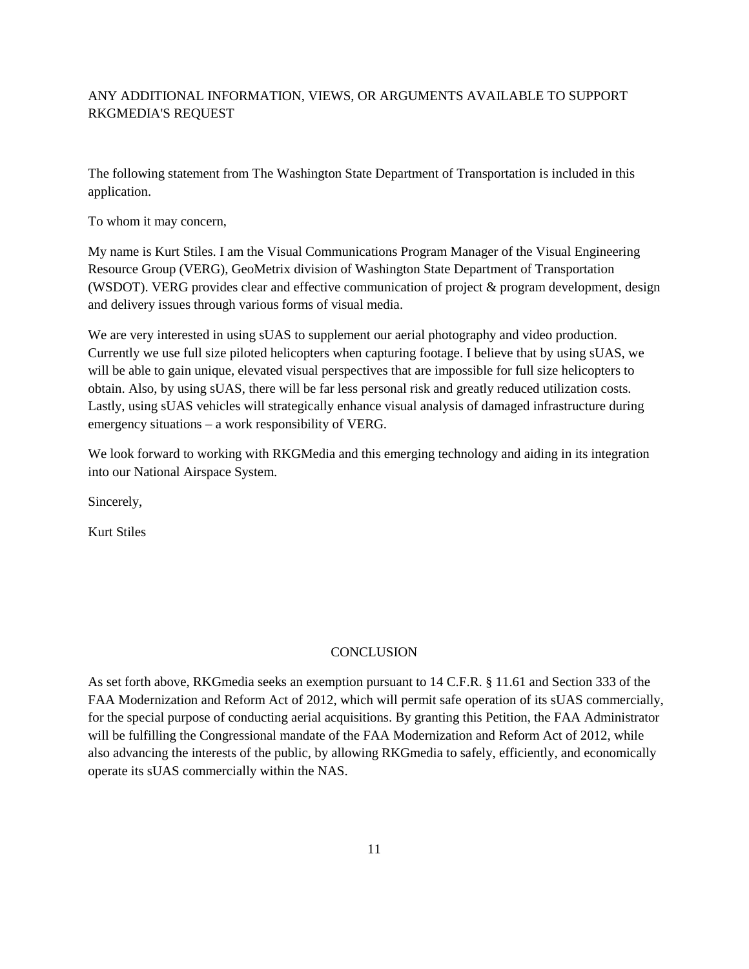## ANY ADDITIONAL INFORMATION, VIEWS, OR ARGUMENTS AVAILABLE TO SUPPORT RKGMEDIA'S REQUEST

The following statement from The Washington State Department of Transportation is included in this application.

To whom it may concern,

My name is Kurt Stiles. I am the Visual Communications Program Manager of the Visual Engineering Resource Group (VERG), GeoMetrix division of Washington State Department of Transportation (WSDOT). VERG provides clear and effective communication of project & program development, design and delivery issues through various forms of visual media.

We are very interested in using sUAS to supplement our aerial photography and video production. Currently we use full size piloted helicopters when capturing footage. I believe that by using sUAS, we will be able to gain unique, elevated visual perspectives that are impossible for full size helicopters to obtain. Also, by using sUAS, there will be far less personal risk and greatly reduced utilization costs. Lastly, using sUAS vehicles will strategically enhance visual analysis of damaged infrastructure during emergency situations – a work responsibility of VERG.

We look forward to working with RKGMedia and this emerging technology and aiding in its integration into our National Airspace System.

Sincerely,

Kurt Stiles

#### **CONCLUSION**

As set forth above, RKGmedia seeks an exemption pursuant to 14 C.F.R. § 11.61 and Section 333 of the FAA Modernization and Reform Act of 2012, which will permit safe operation of its sUAS commercially, for the special purpose of conducting aerial acquisitions. By granting this Petition, the FAA Administrator will be fulfilling the Congressional mandate of the FAA Modernization and Reform Act of 2012, while also advancing the interests of the public, by allowing RKGmedia to safely, efficiently, and economically operate its sUAS commercially within the NAS.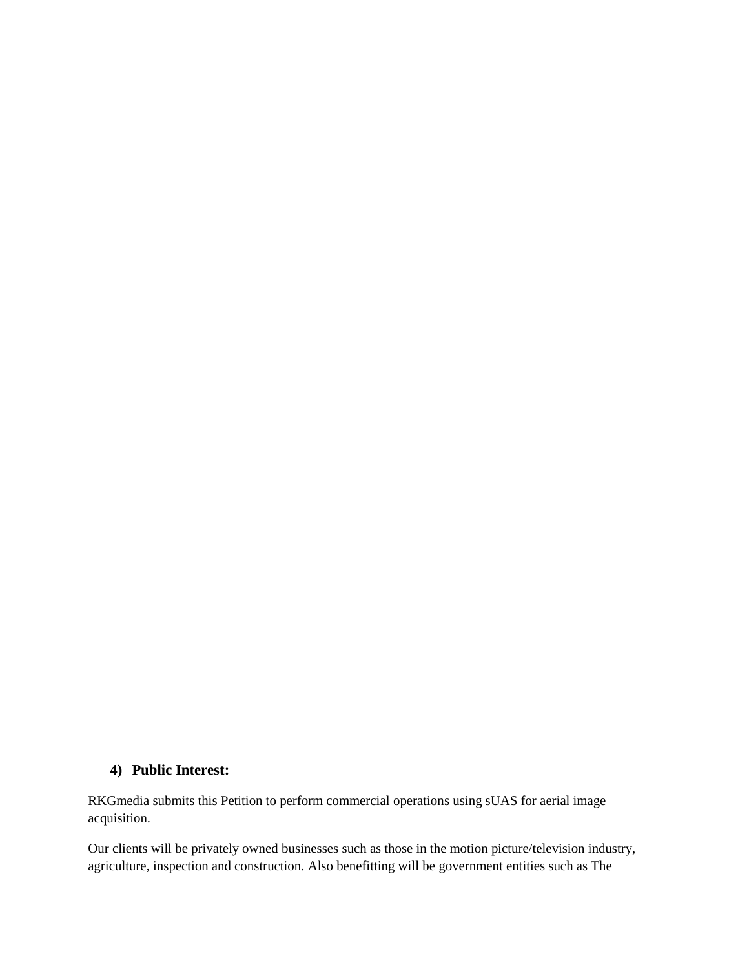## **4) Public Interest:**

RKGmedia submits this Petition to perform commercial operations using sUAS for aerial image acquisition.

Our clients will be privately owned businesses such as those in the motion picture/television industry, agriculture, inspection and construction. Also benefitting will be government entities such as The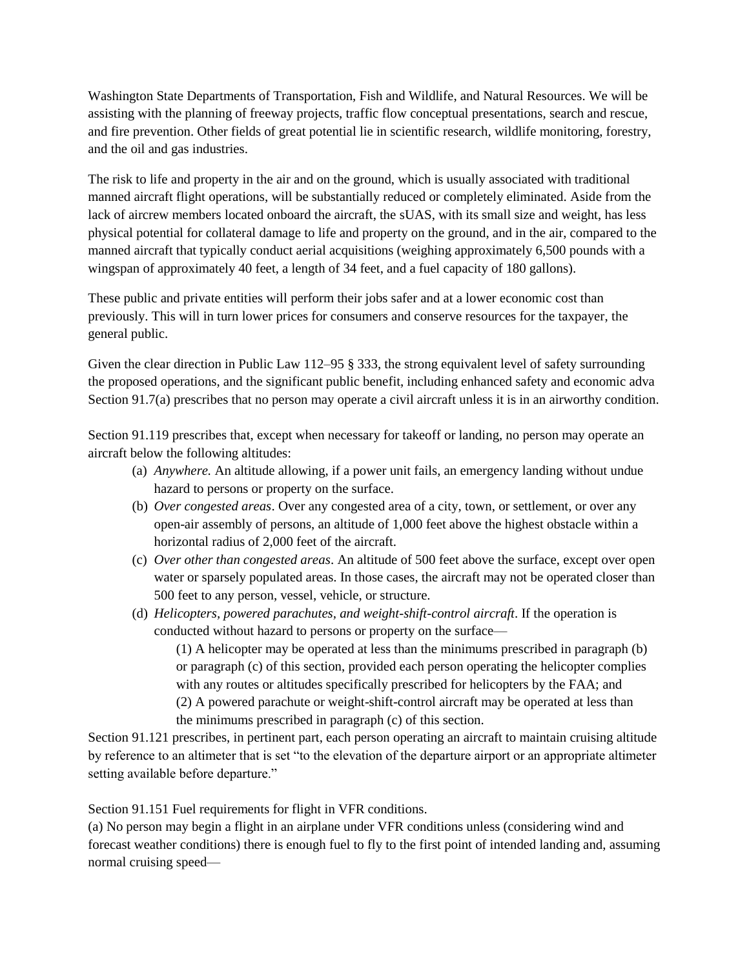Washington State Departments of Transportation, Fish and Wildlife, and Natural Resources. We will be assisting with the planning of freeway projects, traffic flow conceptual presentations, search and rescue, and fire prevention. Other fields of great potential lie in scientific research, wildlife monitoring, forestry, and the oil and gas industries.

The risk to life and property in the air and on the ground, which is usually associated with traditional manned aircraft flight operations, will be substantially reduced or completely eliminated. Aside from the lack of aircrew members located onboard the aircraft, the sUAS, with its small size and weight, has less physical potential for collateral damage to life and property on the ground, and in the air, compared to the manned aircraft that typically conduct aerial acquisitions (weighing approximately 6,500 pounds with a wingspan of approximately 40 feet, a length of 34 feet, and a fuel capacity of 180 gallons).

These public and private entities will perform their jobs safer and at a lower economic cost than previously. This will in turn lower prices for consumers and conserve resources for the taxpayer, the general public.

Given the clear direction in Public Law 112–95 § 333, the strong equivalent level of safety surrounding the proposed operations, and the significant public benefit, including enhanced safety and economic adva Section 91.7(a) prescribes that no person may operate a civil aircraft unless it is in an airworthy condition.

Section 91.119 prescribes that, except when necessary for takeoff or landing, no person may operate an aircraft below the following altitudes:

- (a) *Anywhere.* An altitude allowing, if a power unit fails, an emergency landing without undue hazard to persons or property on the surface.
- (b) *Over congested areas*. Over any congested area of a city, town, or settlement, or over any open-air assembly of persons, an altitude of 1,000 feet above the highest obstacle within a horizontal radius of 2,000 feet of the aircraft.
- (c) *Over other than congested areas*. An altitude of 500 feet above the surface, except over open water or sparsely populated areas. In those cases, the aircraft may not be operated closer than 500 feet to any person, vessel, vehicle, or structure.
- (d) *Helicopters, powered parachutes, and weight-shift-control aircraft*. If the operation is conducted without hazard to persons or property on the surface—

(1) A helicopter may be operated at less than the minimums prescribed in paragraph (b) or paragraph (c) of this section, provided each person operating the helicopter complies with any routes or altitudes specifically prescribed for helicopters by the FAA; and (2) A powered parachute or weight-shift-control aircraft may be operated at less than the minimums prescribed in paragraph (c) of this section.

Section 91.121 prescribes, in pertinent part, each person operating an aircraft to maintain cruising altitude by reference to an altimeter that is set "to the elevation of the departure airport or an appropriate altimeter setting available before departure."

Section 91.151 Fuel requirements for flight in VFR conditions.

(a) No person may begin a flight in an airplane under VFR conditions unless (considering wind and forecast weather conditions) there is enough fuel to fly to the first point of intended landing and, assuming normal cruising speed—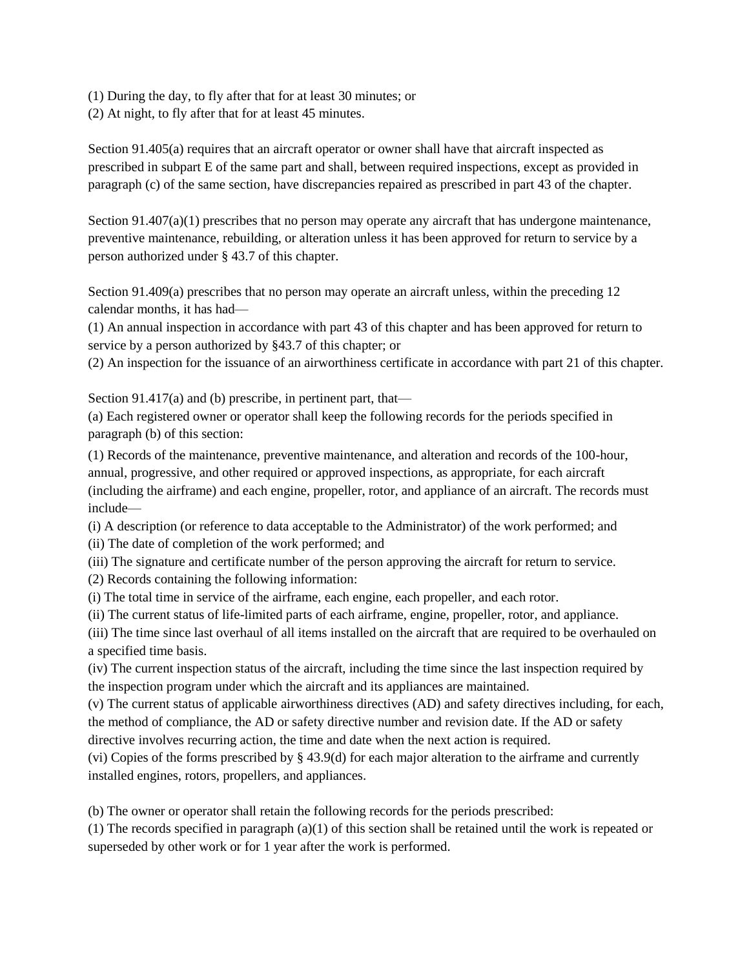- (1) During the day, to fly after that for at least 30 minutes; or
- (2) At night, to fly after that for at least 45 minutes.

Section 91.405(a) requires that an aircraft operator or owner shall have that aircraft inspected as prescribed in subpart E of the same part and shall, between required inspections, except as provided in paragraph (c) of the same section, have discrepancies repaired as prescribed in part 43 of the chapter.

Section 91.407(a)(1) prescribes that no person may operate any aircraft that has undergone maintenance, preventive maintenance, rebuilding, or alteration unless it has been approved for return to service by a person authorized under § 43.7 of this chapter.

Section 91.409(a) prescribes that no person may operate an aircraft unless, within the preceding 12 calendar months, it has had—

(1) An annual inspection in accordance with part 43 of this chapter and has been approved for return to service by a person authorized by §43.7 of this chapter; or

(2) An inspection for the issuance of an airworthiness certificate in accordance with part 21 of this chapter.

Section 91.417(a) and (b) prescribe, in pertinent part, that—

(a) Each registered owner or operator shall keep the following records for the periods specified in paragraph (b) of this section:

(1) Records of the maintenance, preventive maintenance, and alteration and records of the 100-hour, annual, progressive, and other required or approved inspections, as appropriate, for each aircraft (including the airframe) and each engine, propeller, rotor, and appliance of an aircraft. The records must include—

(i) A description (or reference to data acceptable to the Administrator) of the work performed; and

(ii) The date of completion of the work performed; and

(iii) The signature and certificate number of the person approving the aircraft for return to service. (2) Records containing the following information:

(i) The total time in service of the airframe, each engine, each propeller, and each rotor.

(ii) The current status of life-limited parts of each airframe, engine, propeller, rotor, and appliance.

(iii) The time since last overhaul of all items installed on the aircraft that are required to be overhauled on a specified time basis.

(iv) The current inspection status of the aircraft, including the time since the last inspection required by the inspection program under which the aircraft and its appliances are maintained.

(v) The current status of applicable airworthiness directives (AD) and safety directives including, for each, the method of compliance, the AD or safety directive number and revision date. If the AD or safety directive involves recurring action, the time and date when the next action is required.

(vi) Copies of the forms prescribed by § 43.9(d) for each major alteration to the airframe and currently installed engines, rotors, propellers, and appliances.

(b) The owner or operator shall retain the following records for the periods prescribed:

(1) The records specified in paragraph (a)(1) of this section shall be retained until the work is repeated or superseded by other work or for 1 year after the work is performed.